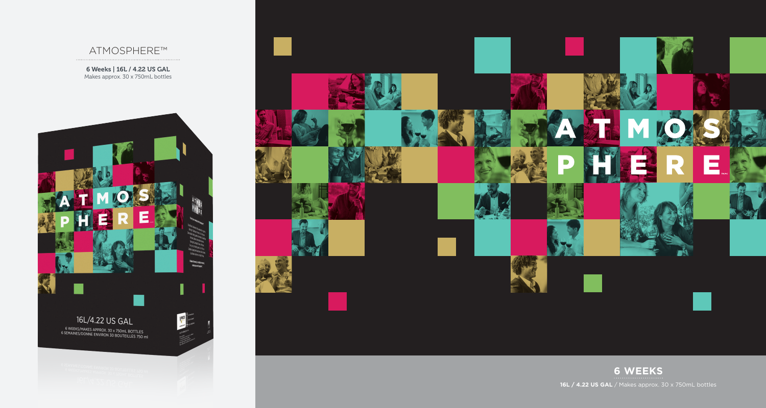

6 Weeks | 16L / 4.22 US GAL Makes approx. 30 x 750mL bottles





**6 WEEKS**